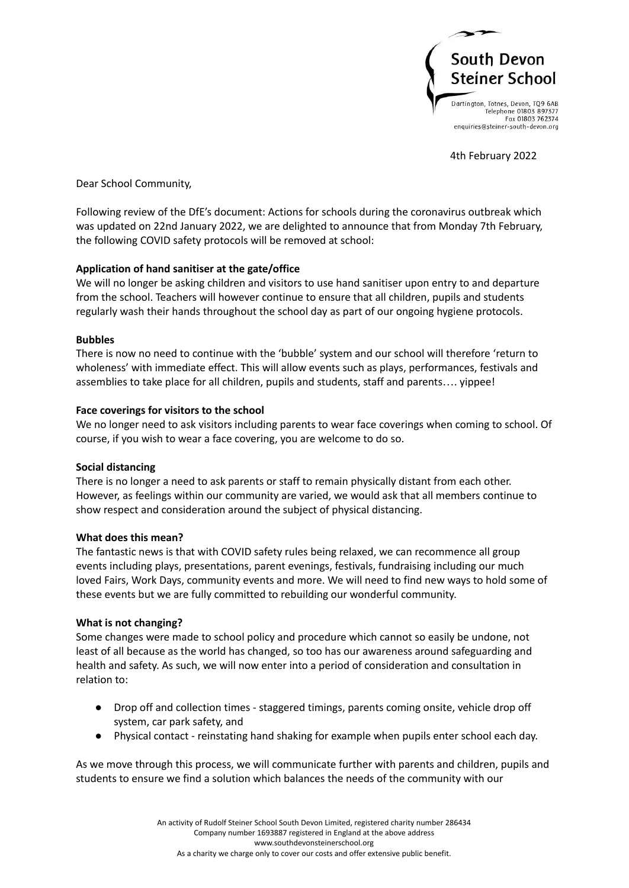

4th February 2022

Dear School Community,

Following review of the DfE's document: Actions for schools during the coronavirus outbreak which was updated on 22nd January 2022, we are delighted to announce that from Monday 7th February, the following COVID safety protocols will be removed at school:

# **Application of hand sanitiser at the gate/office**

We will no longer be asking children and visitors to use hand sanitiser upon entry to and departure from the school. Teachers will however continue to ensure that all children, pupils and students regularly wash their hands throughout the school day as part of our ongoing hygiene protocols.

## **Bubbles**

There is now no need to continue with the 'bubble' system and our school will therefore 'return to wholeness' with immediate effect. This will allow events such as plays, performances, festivals and assemblies to take place for all children, pupils and students, staff and parents…. yippee!

## **Face coverings for visitors to the school**

We no longer need to ask visitors including parents to wear face coverings when coming to school. Of course, if you wish to wear a face covering, you are welcome to do so.

## **Social distancing**

There is no longer a need to ask parents or staff to remain physically distant from each other. However, as feelings within our community are varied, we would ask that all members continue to show respect and consideration around the subject of physical distancing.

## **What does this mean?**

The fantastic news is that with COVID safety rules being relaxed, we can recommence all group events including plays, presentations, parent evenings, festivals, fundraising including our much loved Fairs, Work Days, community events and more. We will need to find new ways to hold some of these events but we are fully committed to rebuilding our wonderful community.

## **What is not changing?**

Some changes were made to school policy and procedure which cannot so easily be undone, not least of all because as the world has changed, so too has our awareness around safeguarding and health and safety. As such, we will now enter into a period of consideration and consultation in relation to:

- Drop off and collection times staggered timings, parents coming onsite, vehicle drop off system, car park safety, and
- Physical contact reinstating hand shaking for example when pupils enter school each day.

As we move through this process, we will communicate further with parents and children, pupils and students to ensure we find a solution which balances the needs of the community with our